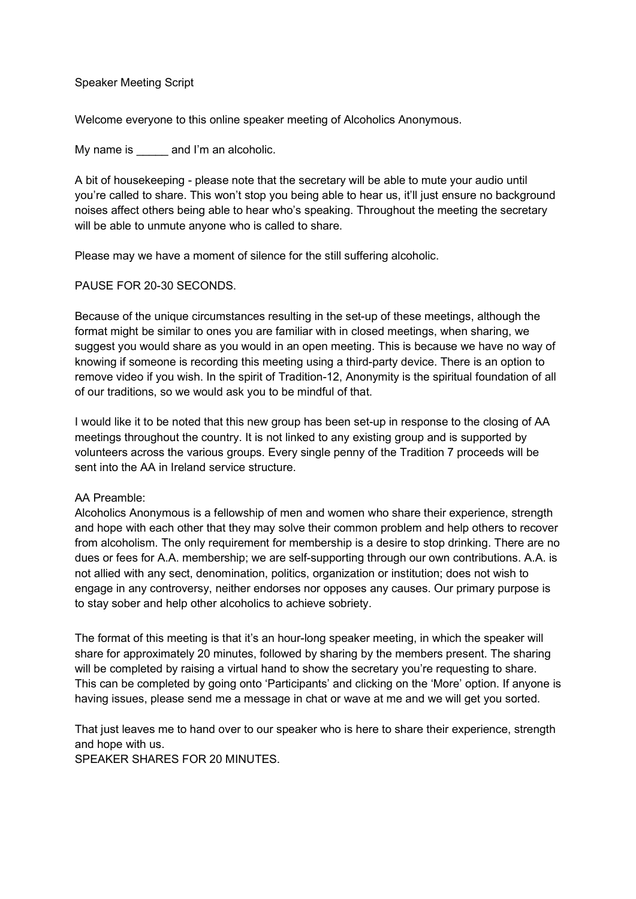## Speaker Meeting Script

Welcome everyone to this online speaker meeting of Alcoholics Anonymous.

My name is eand I'm an alcoholic.

A bit of housekeeping - please note that the secretary will be able to mute your audio until you're called to share. This won't stop you being able to hear us, it'll just ensure no background noises affect others being able to hear who's speaking. Throughout the meeting the secretary will be able to unmute anyone who is called to share.

Please may we have a moment of silence for the still suffering alcoholic.

## PAUSE FOR 20-30 SECONDS.

Because of the unique circumstances resulting in the set-up of these meetings, although the format might be similar to ones you are familiar with in closed meetings, when sharing, we suggest you would share as you would in an open meeting. This is because we have no way of knowing if someone is recording this meeting using a third-party device. There is an option to remove video if you wish. In the spirit of Tradition-12, Anonymity is the spiritual foundation of all of our traditions, so we would ask you to be mindful of that.

I would like it to be noted that this new group has been set-up in response to the closing of AA meetings throughout the country. It is not linked to any existing group and is supported by volunteers across the various groups. Every single penny of the Tradition 7 proceeds will be sent into the AA in Ireland service structure.

## AA Preamble:

Alcoholics Anonymous is a fellowship of men and women who share their experience, strength and hope with each other that they may solve their common problem and help others to recover from alcoholism. The only requirement for membership is a desire to stop drinking. There are no dues or fees for A.A. membership; we are self-supporting through our own contributions. A.A. is not allied with any sect, denomination, politics, organization or institution; does not wish to engage in any controversy, neither endorses nor opposes any causes. Our primary purpose is to stay sober and help other alcoholics to achieve sobriety.

The format of this meeting is that it's an hour-long speaker meeting, in which the speaker will share for approximately 20 minutes, followed by sharing by the members present. The sharing will be completed by raising a virtual hand to show the secretary you're requesting to share. This can be completed by going onto 'Participants' and clicking on the 'More' option. If anyone is having issues, please send me a message in chat or wave at me and we will get you sorted.

That just leaves me to hand over to our speaker who is here to share their experience, strength and hope with us. SPEAKER SHARES FOR 20 MINUTES.